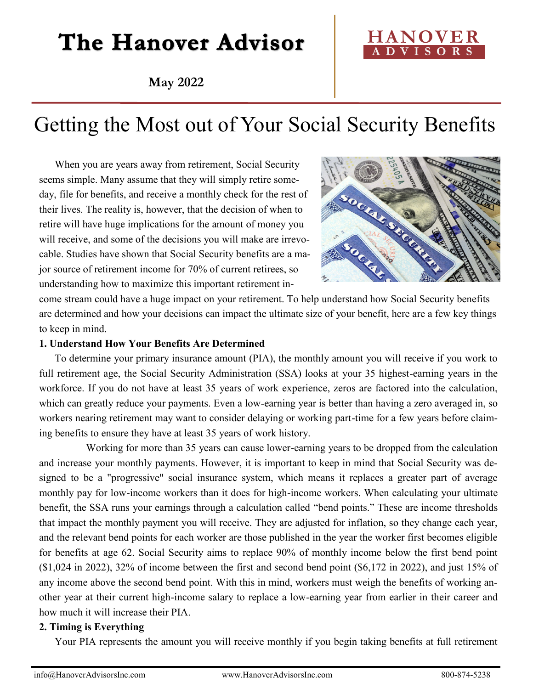# The Hanover Advisor

**May 2022**



## Getting the Most out of Your Social Security Benefits

When you are years away from retirement, Social Security seems simple. Many assume that they will simply retire someday, file for benefits, and receive a monthly check for the rest of their lives. The reality is, however, that the decision of when to retire will have huge implications for the amount of money you will receive, and some of the decisions you will make are irrevocable. Studies have shown that Social Security benefits are a major source of retirement income for 70% of current retirees, so understanding how to maximize this important retirement in-



come stream could have a huge impact on your retirement. To help understand how Social Security benefits are determined and how your decisions can impact the ultimate size of your benefit, here are a few key things to keep in mind.

#### **1. Understand How Your Benefits Are Determined**

To determine your primary insurance amount (PIA), the monthly amount you will receive if you work to full retirement age, the Social Security Administration (SSA) looks at your 35 highest-earning years in the workforce. If you do not have at least 35 years of work experience, zeros are factored into the calculation, which can greatly reduce your payments. Even a low-earning year is better than having a zero averaged in, so workers nearing retirement may want to consider delaying or working part-time for a few years before claiming benefits to ensure they have at least 35 years of work history.

Working for more than 35 years can cause lower-earning years to be dropped from the calculation and increase your monthly payments. However, it is important to keep in mind that Social Security was designed to be a "progressive" social insurance system, which means it replaces a greater part of average monthly pay for low-income workers than it does for high-income workers. When calculating your ultimate benefit, the SSA runs your earnings through a calculation called "bend points." These are income thresholds that impact the monthly payment you will receive. They are adjusted for inflation, so they change each year, and the relevant bend points for each worker are those published in the year the worker first becomes eligible for benefits at age 62. Social Security aims to replace 90% of monthly income below the first bend point  $(1,024 \text{ in } 2022)$ , 32% of income between the first and second bend point  $(1,024 \text{ in } 2022)$ , and just 15% of any income above the second bend point. With this in mind, workers must weigh the benefits of working another year at their current high-income salary to replace a low-earning year from earlier in their career and how much it will increase their PIA.

### **2. Timing is Everything**

Your PIA represents the amount you will receive monthly if you begin taking benefits at full retirement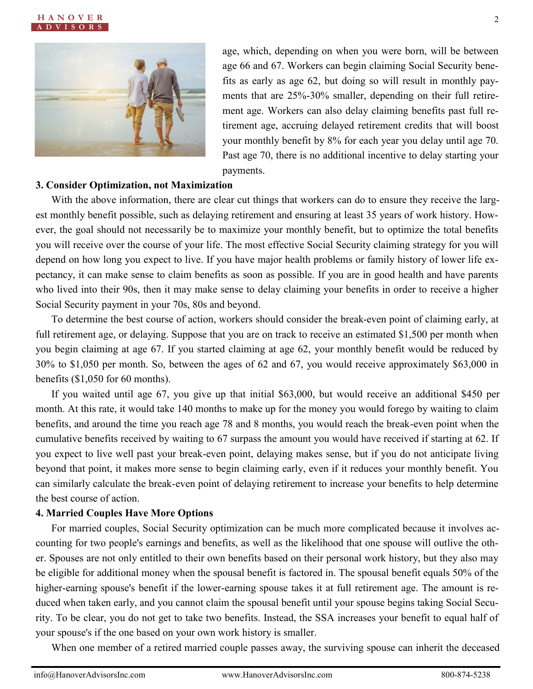



age, which, depending on when you were born, will be between age 66 and 67. Workers can begin claiming Social Security benefits as early as age 62, but doing so will result in monthly payments that are 25%-30% smaller, depending on their full retirement age. Workers can also delay claiming benefits past full retirement age, accruing delayed retirement credits that will boost your monthly benefit by 8% for each year you delay until age 70. Past age 70, there is no additional incentive to delay starting your payments.

#### **3. Consider Optimization, not Maximization**

With the above information, there are clear cut things that workers can do to ensure they receive the largest monthly benefit possible, such as delaying retirement and ensuring at least 35 years of work history. However, the goal should not necessarily be to maximize your monthly benefit, but to optimize the total benefits you will receive over the course of your life. The most effective Social Security claiming strategy for you will depend on how long you expect to live. If you have major health problems or family history of lower life expectancy, it can make sense to claim benefits as soon as possible. If you are in good health and have parents who lived into their 90s, then it may make sense to delay claiming your benefits in order to receive a higher Social Security payment in your 70s, 80s and beyond.

To determine the best course of action, workers should consider the break-even point of claiming early, at full retirement age, or delaying. Suppose that you are on track to receive an estimated \$1,500 per month when you begin claiming at age 67. If you started claiming at age 62, your monthly benefit would be reduced by 30% to \$1,050 per month. So, between the ages of 62 and 67, you would receive approximately \$63,000 in benefits (\$1,050 for 60 months).

If you waited until age 67, you give up that initial \$63,000, but would receive an additional \$450 per month. At this rate, it would take 140 months to make up for the money you would forego by waiting to claim benefits, and around the time you reach age 78 and 8 months, you would reach the break-even point when the cumulative benefits received by waiting to 67 surpass the amount you would have received if starting at 62. If you expect to live well past your break-even point, delaying makes sense, but if you do not anticipate living beyond that point, it makes more sense to begin claiming early, even if it reduces your monthly benefit. You can similarly calculate the break-even point of delaying retirement to increase your benefits to help determine the best course of action.

#### **4. Married Couples Have More Options**

For married couples, Social Security optimization can be much more complicated because it involves accounting for two people's earnings and benefits, as well as the likelihood that one spouse will outlive the other. Spouses are not only entitled to their own benefits based on their personal work history, but they also may be eligible for additional money when the spousal benefit is factored in. The spousal benefit equals 50% of the higher-earning spouse's benefit if the lower-earning spouse takes it at full retirement age. The amount is reduced when taken early, and you cannot claim the spousal benefit until your spouse begins taking Social Security. To be clear, you do not get to take two benefits. Instead, the SSA increases your benefit to equal half of your spouse's if the one based on your own work history is smaller.

When one member of a retired married couple passes away, the surviving spouse can inherit the deceased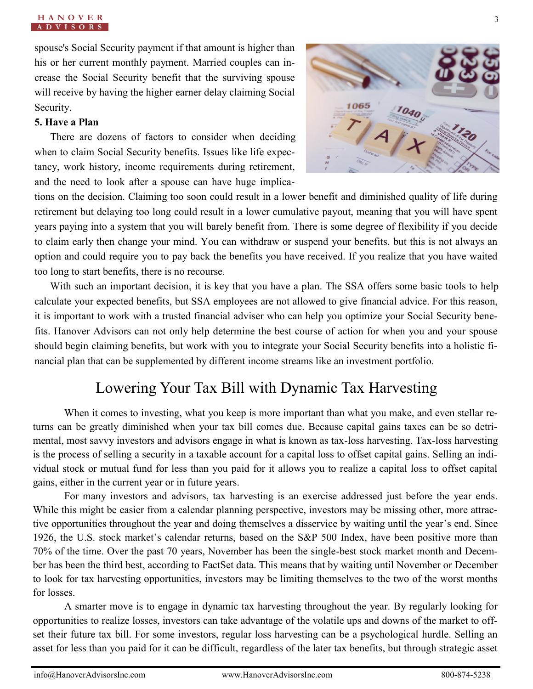spouse's Social Security payment if that amount is higher than his or her current monthly payment. Married couples can increase the Social Security benefit that the surviving spouse will receive by having the higher earner delay claiming Social Security.

#### **5. Have a Plan**

There are dozens of factors to consider when deciding when to claim Social Security benefits. Issues like life expectancy, work history, income requirements during retirement, and the need to look after a spouse can have huge implica-



tions on the decision. Claiming too soon could result in a lower benefit and diminished quality of life during retirement but delaying too long could result in a lower cumulative payout, meaning that you will have spent years paying into a system that you will barely benefit from. There is some degree of flexibility if you decide to claim early then change your mind. You can withdraw or suspend your benefits, but this is not always an option and could require you to pay back the benefits you have received. If you realize that you have waited too long to start benefits, there is no recourse.

With such an important decision, it is key that you have a plan. The SSA offers some basic tools to help calculate your expected benefits, but SSA employees are not allowed to give financial advice. For this reason, it is important to work with a trusted financial adviser who can help you optimize your Social Security benefits. Hanover Advisors can not only help determine the best course of action for when you and your spouse should begin claiming benefits, but work with you to integrate your Social Security benefits into a holistic financial plan that can be supplemented by different income streams like an investment portfolio.

## Lowering Your Tax Bill with Dynamic Tax Harvesting

When it comes to investing, what you keep is more important than what you make, and even stellar returns can be greatly diminished when your tax bill comes due. Because capital gains taxes can be so detrimental, most savvy investors and advisors engage in what is known as tax-loss harvesting. Tax-loss harvesting is the process of selling a security in a taxable account for a capital loss to offset capital gains. Selling an individual stock or mutual fund for less than you paid for it allows you to realize a capital loss to offset capital gains, either in the current year or in future years.

For many investors and advisors, tax harvesting is an exercise addressed just before the year ends. While this might be easier from a calendar planning perspective, investors may be missing other, more attractive opportunities throughout the year and doing themselves a disservice by waiting until the year's end. Since 1926, the U.S. stock market's calendar returns, based on the S&P 500 Index, have been positive more than 70% of the time. Over the past 70 years, November has been the single-best stock market month and December has been the third best, according to FactSet data. This means that by waiting until November or December to look for tax harvesting opportunities, investors may be limiting themselves to the two of the worst months for losses.

A smarter move is to engage in dynamic tax harvesting throughout the year. By regularly looking for opportunities to realize losses, investors can take advantage of the volatile ups and downs of the market to offset their future tax bill. For some investors, regular loss harvesting can be a psychological hurdle. Selling an asset for less than you paid for it can be difficult, regardless of the later tax benefits, but through strategic asset

#### **H A N O V E R A D V I S O R S**